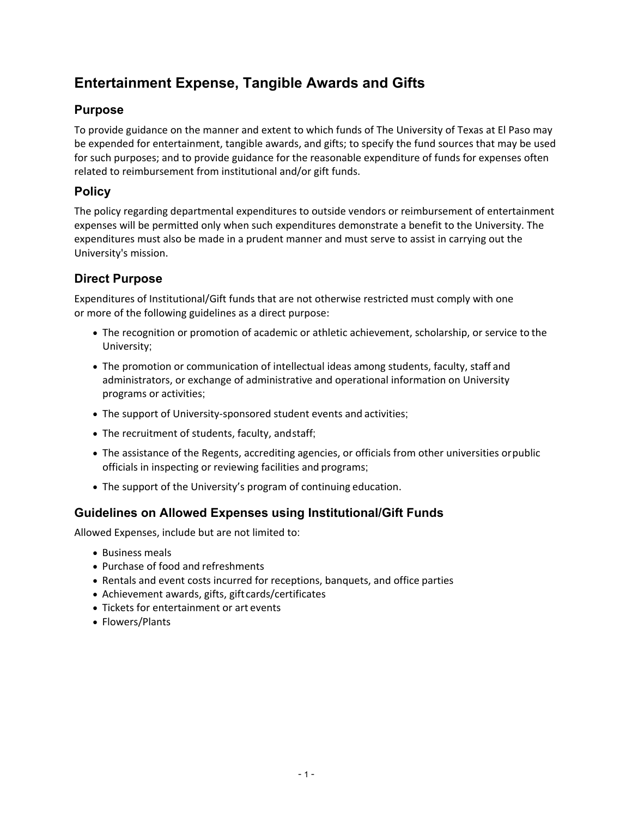# **Entertainment Expense, Tangible Awards and Gifts**

# **Purpose**

To provide guidance on the manner and extent to which funds of The University of Texas at El Paso may be expended for entertainment, tangible awards, and gifts; to specify the fund sources that may be used for such purposes; and to provide guidance for the reasonable expenditure of funds for expenses often related to reimbursement from institutional and/or gift funds.

# **Policy**

The policy regarding departmental expenditures to outside vendors or reimbursement of entertainment expenses will be permitted only when such expenditures demonstrate a benefit to the University. The expenditures must also be made in a prudent manner and must serve to assist in carrying out the University's mission.

# **Direct Purpose**

Expenditures of Institutional/Gift funds that are not otherwise restricted must comply with one or more of the following guidelines as a direct purpose:

- The recognition or promotion of academic or athletic achievement, scholarship, or service to the University;
- The promotion or communication of intellectual ideas among students, faculty, staff and administrators, or exchange of administrative and operational information on University programs or activities;
- The support of University-sponsored student events and activities;
- The recruitment of students, faculty, and staff;
- The assistance of the Regents, accrediting agencies, or officials from other universities or public officials in inspecting or reviewing facilities and programs;
- The support of the University's program of continuing education.

# **Guidelines on Allowed Expenses using Institutional/Gift Funds**

Allowed Expenses, include but are not limited to:

- Business meals
- Purchase of food and refreshments
- Rentals and event costs incurred for receptions, banquets, and office parties
- Achievement awards, gifts, gift cards/certificates
- Tickets for entertainment or art events
- Flowers/Plants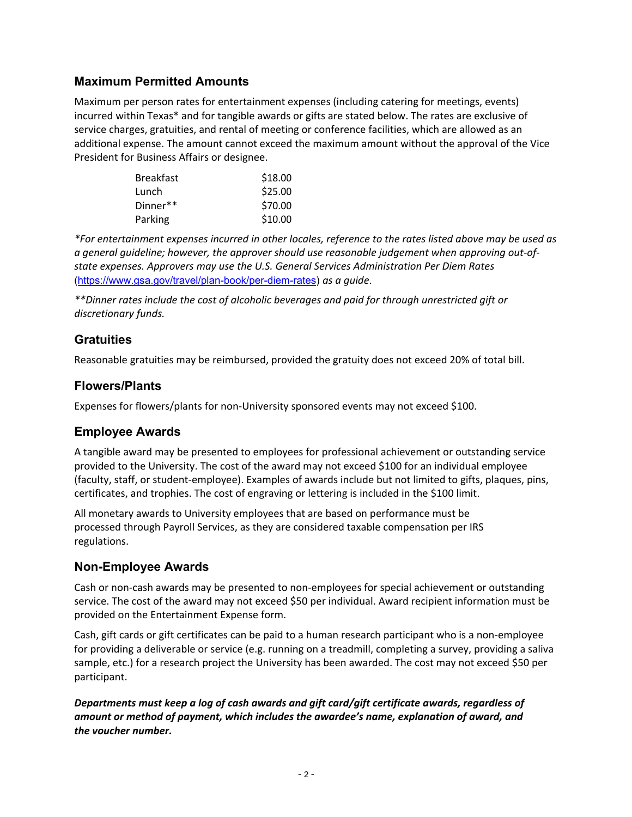#### **Maximum Permitted Amounts**

Maximum per person rates for entertainment expenses (including catering for meetings, events) incurred within Texas\* and for tangible awards or gifts are stated below. The rates are exclusive of service charges, gratuities, and rental of meeting or conference facilities, which are allowed as an additional expense. The amount cannot exceed the maximum amount without the approval of the Vice President for Business Affairs or designee.

| <b>Breakfast</b> | \$18.00 |
|------------------|---------|
| Lunch            | \$25.00 |
| Dinner**         | \$70.00 |
| Parking          | \$10.00 |

*\*For entertainment expenses incurred in other locales, reference to the rates listed above may be used as a general guideline; however, the approver should use reasonable judgement when approving out‐of‐ state expenses. Approvers may use the U.S. General Services Administration Per Diem Rates* (https://www.gsa.gov/travel/plan-book/per-diem-rates) *as a guide*.

*\*\*Dinner rates include the cost of alcoholic beverages and paid for through unrestricted gift or discretionary funds.* 

#### **Gratuities**

Reasonable gratuities may be reimbursed, provided the gratuity does not exceed 20% of total bill.

#### **Flowers/Plants**

Expenses for flowers/plants for non‐University sponsored events may not exceed \$100.

# **Employee Awards**

A tangible award may be presented to employees for professional achievement or outstanding service provided to the University. The cost of the award may not exceed \$100 for an individual employee (faculty, staff, or student‐employee). Examples of awards include but not limited to gifts, plaques, pins, certificates, and trophies. The cost of engraving or lettering is included in the \$100 limit.

All monetary awards to University employees that are based on performance must be processed through Payroll Services, as they are considered taxable compensation per IRS regulations.

# **Non-Employee Awards**

Cash or non‐cash awards may be presented to non‐employees for special achievement or outstanding service. The cost of the award may not exceed \$50 per individual. Award recipient information must be provided on the Entertainment Expense form.

Cash, gift cards or gift certificates can be paid to a human research participant who is a non‐employee for providing a deliverable or service (e.g. running on a treadmill, completing a survey, providing a saliva sample, etc.) for a research project the University has been awarded. The cost may not exceed \$50 per participant.

*Departments must keep a log of cash awards and gift card/gift certificate awards, regardless of amount or method of payment, which includes the awardee's name, explanation of award, and the voucher number.*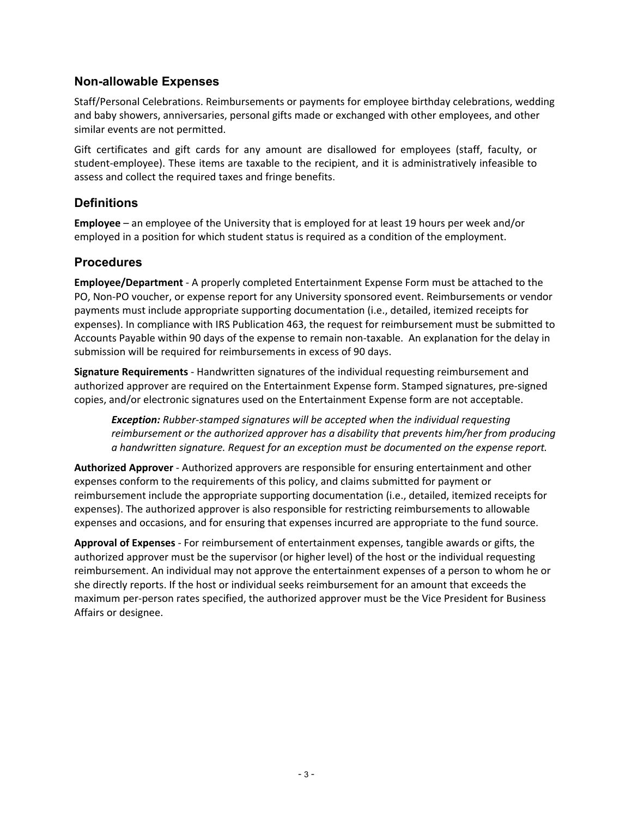#### **Non-allowable Expenses**

Staff/Personal Celebrations. Reimbursements or payments for employee birthday celebrations, wedding and baby showers, anniversaries, personal gifts made or exchanged with other employees, and other similar events are not permitted.

Gift certificates and gift cards for any amount are disallowed for employees (staff, faculty, or student‐employee). These items are taxable to the recipient, and it is administratively infeasible to assess and collect the required taxes and fringe benefits.

# **Definitions**

**Employee** – an employee of the University that is employed for at least 19 hours per week and/or employed in a position for which student status is required as a condition of the employment.

# **Procedures**

**Employee/Department** ‐ A properly completed Entertainment Expense Form must be attached to the PO, Non‐PO voucher, or expense report for any University sponsored event. Reimbursements or vendor payments must include appropriate supporting documentation (i.e., detailed, itemized receipts for expenses). In compliance with IRS Publication 463, the request for reimbursement must be submitted to Accounts Payable within 90 days of the expense to remain non-taxable. An explanation for the delay in submission will be required for reimbursements in excess of 90 days.

**Signature Requirements** ‐ Handwritten signatures of the individual requesting reimbursement and authorized approver are required on the Entertainment Expense form. Stamped signatures, pre‐signed copies, and/or electronic signatures used on the Entertainment Expense form are not acceptable.

*Exception: Rubber‐stamped signatures will be accepted when the individual requesting reimbursement or the authorized approver has a disability that prevents him/her from producing a handwritten signature. Request for an exception must be documented on the expense report.*

**Authorized Approver** ‐ Authorized approvers are responsible for ensuring entertainment and other expenses conform to the requirements of this policy, and claims submitted for payment or reimbursement include the appropriate supporting documentation (i.e., detailed, itemized receipts for expenses). The authorized approver is also responsible for restricting reimbursements to allowable expenses and occasions, and for ensuring that expenses incurred are appropriate to the fund source.

**Approval of Expenses** ‐ For reimbursement of entertainment expenses, tangible awards or gifts, the authorized approver must be the supervisor (or higher level) of the host or the individual requesting reimbursement. An individual may not approve the entertainment expenses of a person to whom he or she directly reports. If the host or individual seeks reimbursement for an amount that exceeds the maximum per-person rates specified, the authorized approver must be the Vice President for Business Affairs or designee.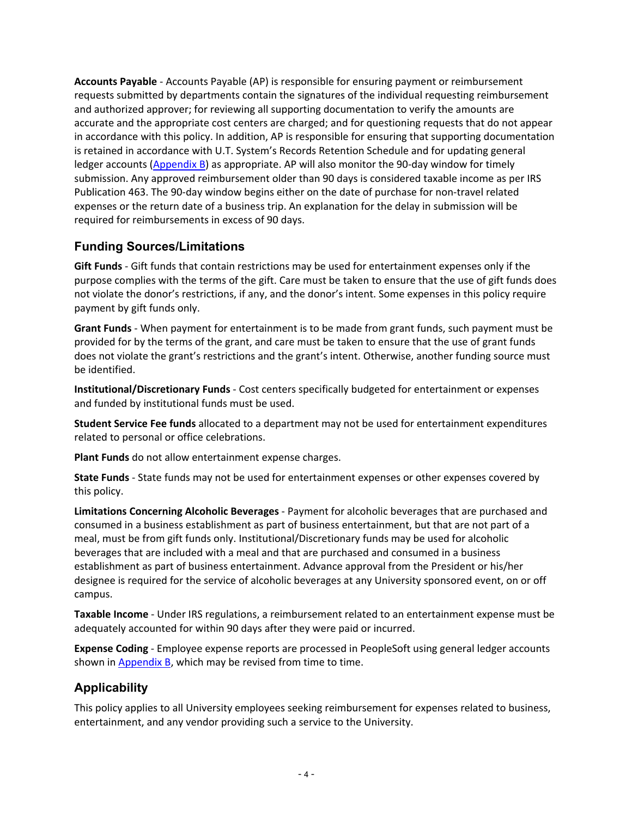**Accounts Payable** ‐ Accounts Payable (AP) is responsible for ensuring payment or reimbursement requests submitted by departments contain the signatures of the individual requesting reimbursement and authorized approver; for reviewing all supporting documentation to verify the amounts are accurate and the appropriate cost centers are charged; and for questioning requests that do not appear in accordance with this policy. In addition, AP is responsible for ensuring that supporting documentation is retained in accordance with U.T. System's Records Retention Schedule and for updating general ledger accounts [\(Appendix B\)](https://www.utep.edu/vpba/hoop/_Files/docs/section-7/Appendix-B-General-Ledger-Accounts-for-Entertainment-Expenses.pdf) as appropriate. AP will also monitor the 90-day window for timely submission. Any approved reimbursement older than 90 days is considered taxable income as per IRS Publication 463. The 90-day window begins either on the date of purchase for non-travel related expenses or the return date of a business trip. An explanation for the delay in submission will be required for reimbursements in excess of 90 days.

# **Funding Sources/Limitations**

**Gift Funds** ‐ Gift funds that contain restrictions may be used for entertainment expenses only if the purpose complies with the terms of the gift. Care must be taken to ensure that the use of gift funds does not violate the donor's restrictions, if any, and the donor's intent. Some expenses in this policy require payment by gift funds only.

**Grant Funds** ‐ When payment for entertainment is to be made from grant funds, such payment must be provided for by the terms of the grant, and care must be taken to ensure that the use of grant funds does not violate the grant's restrictions and the grant's intent. Otherwise, another funding source must be identified.

**Institutional/Discretionary Funds** ‐ Cost centers specifically budgeted for entertainment or expenses and funded by institutional funds must be used.

**Student Service Fee funds** allocated to a department may not be used for entertainment expenditures related to personal or office celebrations.

**Plant Funds** do not allow entertainment expense charges.

**State Funds** ‐ State funds may not be used for entertainment expenses or other expenses covered by this policy.

**Limitations Concerning Alcoholic Beverages** ‐ Payment for alcoholic beverages that are purchased and consumed in a business establishment as part of business entertainment, but that are not part of a meal, must be from gift funds only. Institutional/Discretionary funds may be used for alcoholic beverages that are included with a meal and that are purchased and consumed in a business establishment as part of business entertainment. Advance approval from the President or his/her designee is required for the service of alcoholic beverages at any University sponsored event, on or off campus.

**Taxable Income** ‐ Under IRS regulations, a reimbursement related to an entertainment expense must be adequately accounted for within 90 days after they were paid or incurred.

**Expense Coding** ‐ Employee expense reports are processed in PeopleSoft using general ledger accounts shown in **Appendix B**, which may be revised from time to time.

# **Applicability**

This policy applies to all University employees seeking reimbursement for expenses related to business, entertainment, and any vendor providing such a service to the University.